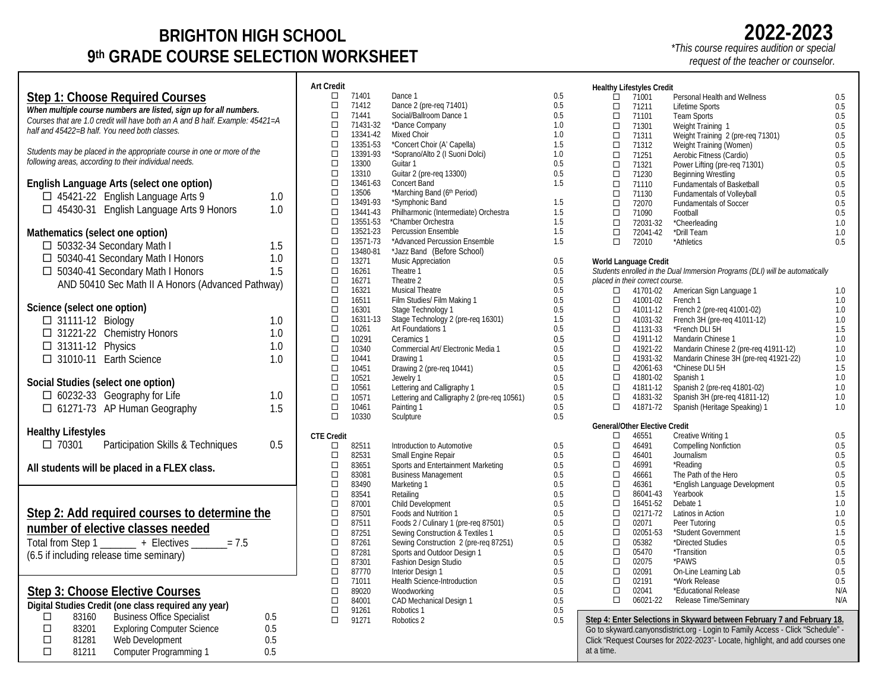# **BRIGHTON HIGH SCHOOL 9th GRADE COURSE SELECTION WORKSHEET**

### **Step 1: Choose Required Courses** *When multiple course numbers are listed, sign up for all numbers. Courses that are 1.0 credit will have both an A and B half. Example: 45421=A half and 45422=B half. You need both classes. Students may be placed in the appropriate course in one or more of the following areas, according to their individual needs.*  **English Language Arts (select one option)**

| Lugusu Language Arts (sciect one option)           |     |  |  |  |  |  |
|----------------------------------------------------|-----|--|--|--|--|--|
| $\Box$ 45421-22 English Language Arts 9            | 1.0 |  |  |  |  |  |
| □ 45430-31 English Language Arts 9 Honors          | 1.0 |  |  |  |  |  |
|                                                    |     |  |  |  |  |  |
| Mathematics (select one option)                    |     |  |  |  |  |  |
| □ 50332-34 Secondary Math I                        | 1.5 |  |  |  |  |  |
| □ 50340-41 Secondary Math I Honors                 | 1.0 |  |  |  |  |  |
| □ 50340-41 Secondary Math I Honors                 | 1.5 |  |  |  |  |  |
| AND 50410 Sec Math II A Honors (Advanced Pathway)  |     |  |  |  |  |  |
| Science (select one option)                        |     |  |  |  |  |  |
| □ 31111-12 Biology                                 | 1.0 |  |  |  |  |  |
|                                                    | 1.0 |  |  |  |  |  |
| □ 31221-22 Chemistry Honors                        |     |  |  |  |  |  |
| $\Box$ 31311-12 Physics                            | 1.0 |  |  |  |  |  |
| □ 31010-11 Earth Science                           | 1.0 |  |  |  |  |  |
| Social Studies (select one option)                 |     |  |  |  |  |  |
| □ 60232-33 Geography for Life                      | 1.0 |  |  |  |  |  |
| □ 61271-73 AP Human Geography                      | 1.5 |  |  |  |  |  |
|                                                    |     |  |  |  |  |  |
| <b>Healthy Lifestyles</b>                          |     |  |  |  |  |  |
| □ 70301 Participation Skills & Techniques          | 0.5 |  |  |  |  |  |
|                                                    |     |  |  |  |  |  |
| All students will be placed in a FLEX class.       |     |  |  |  |  |  |
|                                                    |     |  |  |  |  |  |
|                                                    |     |  |  |  |  |  |
| Step 2: Add required courses to determine the      |     |  |  |  |  |  |
| number of elective classes needed                  |     |  |  |  |  |  |
| Total from Step 1 _______ + Electives ______ = 7.5 |     |  |  |  |  |  |
| (6.5 if including release time seminary)           |     |  |  |  |  |  |
|                                                    |     |  |  |  |  |  |
|                                                    |     |  |  |  |  |  |
| Sten 3: Choose Elective Courses                    |     |  |  |  |  |  |

| Step 3: Choose Elective Courses |  |
|---------------------------------|--|
|                                 |  |

|   |       | Digital Studies Credit (one class required any year) |     |
|---|-------|------------------------------------------------------|-----|
|   | 83160 | <b>Business Office Specialist</b>                    | 0.5 |
| П | 83201 | <b>Exploring Computer Science</b>                    | 0.5 |
| п | 81281 | Web Development                                      | 0.5 |
| П | 81211 | Computer Programming 1                               | 0.5 |

| <b>Art Credit</b> |                   |                                                                            |            |
|-------------------|-------------------|----------------------------------------------------------------------------|------------|
| □                 | 71401             | Dance 1                                                                    | 0.5        |
| $\Box$            | 71412             | Dance 2 (pre-req 71401)                                                    | 0.5        |
| □                 | 71441             | Social/Ballroom Dance 1                                                    | 0.5        |
| □                 | 71431-32          | *Dance Company                                                             | 1.0        |
| ◻                 | 13341-42          | Mixed Choir                                                                | 1.0        |
| □<br>□            | 13351-53          | *Concert Choir (A' Capella)                                                | 1.5        |
| □                 | 13391-93<br>13300 | *Soprano/Alto 2 (I Suoni Dolci)<br>Guitar 1                                | 1.0<br>0.5 |
| □                 | 13310             | Guitar 2 (pre-reg 13300)                                                   | 0.5        |
| ◻                 | 13461-63          | Concert Band                                                               | 1.5        |
| □                 | 13506             | *Marching Band (6th Period)                                                |            |
| □                 | 13491-93          | *Symphonic Band                                                            | 1.5        |
| □                 | 13441-43          | Philharmonic (Intermediate) Orchestra                                      | 1.5        |
| □                 | 13551-53          | *Chamber Orchestra                                                         | 1.5        |
| □                 | 13521-23          | <b>Percussion Ensemble</b>                                                 | 1.5        |
| □                 | 13571-73          | *Advanced Percussion Ensemble                                              | 1.5        |
| п                 | 13480-81          | *Jazz Band (Before School)                                                 |            |
| п<br>□            | 13271             | Music Appreciation<br>Theatre 1                                            | 0.5        |
| □                 | 16261<br>16271    | Theatre 2                                                                  | 0.5<br>0.5 |
| ◻                 | 16321             | <b>Musical Theatre</b>                                                     | 0.5        |
| □                 | 16511             | Film Studies/ Film Making 1                                                | 0.5        |
| □                 | 16301             | Stage Technology 1                                                         | 0.5        |
| □                 | 16311-13          | Stage Technology 2 (pre-req 16301)                                         | 1.5        |
| □                 | 10261             | Art Foundations 1                                                          | 0.5        |
| $\Box$            | 10291             | Ceramics 1                                                                 | 0.5        |
| □                 | 10340             | Commercial Art/ Electronic Media 1                                         | 0.5        |
| п                 | 10441             | Drawing 1                                                                  | 0.5        |
| $\Box$            | 10451             | Drawing 2 (pre-req 10441)                                                  | 0.5        |
| □<br>$\Box$       | 10521             | Jewelry 1                                                                  | 0.5        |
| □                 | 10561<br>10571    | Lettering and Calligraphy 1<br>Lettering and Calligraphy 2 (pre-reg 10561) | 0.5<br>0.5 |
| ◻                 | 10461             | Painting 1                                                                 | 0.5        |
| п                 | 10330             | Sculpture                                                                  | 0.5        |
|                   |                   |                                                                            |            |
| <b>CTE Credit</b> |                   |                                                                            |            |
| □<br>□            | 82511<br>82531    | Introduction to Automotive<br>Small Engine Repair                          | 0.5<br>0.5 |
| □                 | 83651             | Sports and Entertainment Marketing                                         | 0.5        |
| ◻                 | 83081             | <b>Business Management</b>                                                 | 0.5        |
| п                 | 83490             | Marketing 1                                                                | 0.5        |
| □                 | 83541             | Retailing                                                                  | 0.5        |
| □                 | 87001             | Child Development                                                          | 0.5        |
| ◻                 | 87501             | Foods and Nutrition 1                                                      | 0.5        |
| ◻                 | 87511             | Foods 2 / Culinary 1 (pre-req 87501)                                       | 0.5        |
| $\Box$            | 87251             | Sewing Construction & Textiles 1                                           | 0.5        |
| п                 | 87261             | Sewing Construction 2 (pre-req 87251)                                      | 0.5        |
| □<br>□            | 87281             | Sports and Outdoor Design 1                                                | 0.5        |
| ◻                 | 87301<br>87770    | Fashion Design Studio<br>Interior Design 1                                 | 0.5<br>0.5 |
| ◻                 | 71011             | <b>Health Science-Introduction</b>                                         | 0.5        |
| ◻                 | 89020             | Woodworking                                                                | 0.5        |
| ◻                 | 84001             | CAD Mechanical Design 1                                                    | 0.5        |
| $\Box$            | 91261             | Robotics 1                                                                 | 0.5        |
| □                 | 91271             | Robotics 2                                                                 | 0.5        |
|                   |                   |                                                                            |            |

|                                                                               | <b>Healthy Lifestyles Credit</b>     |                                                                                 |     |  |  |  |
|-------------------------------------------------------------------------------|--------------------------------------|---------------------------------------------------------------------------------|-----|--|--|--|
| □                                                                             | 71001                                | Personal Health and Wellness                                                    | 0.5 |  |  |  |
|                                                                               |                                      |                                                                                 |     |  |  |  |
| □                                                                             | 71211                                | Lifetime Sports                                                                 | 0.5 |  |  |  |
| □                                                                             | 71101                                | <b>Team Sports</b>                                                              | 0.5 |  |  |  |
| □                                                                             | 71301                                | Weight Training 1                                                               | 0.5 |  |  |  |
| □                                                                             | 71311                                | Weight Training 2 (pre-reg 71301)                                               | 0.5 |  |  |  |
| □                                                                             | 71312                                | Weight Training (Women)                                                         | 0.5 |  |  |  |
| □                                                                             | 71251                                | Aerobic Fitness (Cardio)                                                        | 0.5 |  |  |  |
| □                                                                             | 71321                                | Power Lifting (pre-reg 71301)                                                   | 0.5 |  |  |  |
| □                                                                             | 71230                                | Beginning Wrestling                                                             | 0.5 |  |  |  |
| $\Box$                                                                        | 71110                                | <b>Fundamentals of Basketball</b>                                               | 0.5 |  |  |  |
| □                                                                             | 71130                                | <b>Fundamentals of Volleyball</b>                                               | 0.5 |  |  |  |
| □                                                                             | 72070                                | <b>Fundamentals of Soccer</b>                                                   | 0.5 |  |  |  |
| □                                                                             | 71090                                | Football                                                                        | 0.5 |  |  |  |
|                                                                               |                                      |                                                                                 |     |  |  |  |
| □                                                                             | 72031-32                             | *Cheerleading                                                                   | 1.0 |  |  |  |
| □                                                                             | 72041-42                             | *Drill Team                                                                     | 1.0 |  |  |  |
| □                                                                             | 72010                                | *Athletics                                                                      | 0.5 |  |  |  |
|                                                                               | World Language Credit                |                                                                                 |     |  |  |  |
|                                                                               |                                      | Students enrolled in the Dual Immersion Programs (DLI) will be automatically    |     |  |  |  |
|                                                                               | placed in their correct course.      |                                                                                 |     |  |  |  |
| □                                                                             | 41701-02                             | American Sign Language 1                                                        | 1.0 |  |  |  |
| □                                                                             | 41001-02                             | French 1                                                                        | 1.0 |  |  |  |
| □                                                                             | 41011-12                             |                                                                                 | 1.0 |  |  |  |
| п                                                                             |                                      | French 2 (pre-req 41001-02)                                                     |     |  |  |  |
|                                                                               | 41031-32                             | French 3H (pre-reg 41011-12)                                                    | 1.0 |  |  |  |
| П.                                                                            | 41131-33                             | *French DLI 5H                                                                  | 1.5 |  |  |  |
| $\Box$                                                                        | 41911-12                             | Mandarin Chinese 1                                                              | 1.0 |  |  |  |
| п                                                                             | 41921-22                             | Mandarin Chinese 2 (pre-req 41911-12)                                           | 1.0 |  |  |  |
| $\Box$                                                                        | 41931-32                             | Mandarin Chinese 3H (pre-req 41921-22)                                          | 1.0 |  |  |  |
| □                                                                             | 42061-63                             | *Chinese DLI 5H                                                                 | 1.5 |  |  |  |
| □                                                                             | 41801-02                             | Spanish 1                                                                       | 1.0 |  |  |  |
| □                                                                             | 41811-12                             | Spanish 2 (pre-req 41801-02)                                                    | 1.0 |  |  |  |
| □                                                                             | 41831-32                             | Spanish 3H (pre-req 41811-12)                                                   | 1.0 |  |  |  |
| □                                                                             | 41871-72                             | Spanish (Heritage Speaking) 1                                                   | 1.0 |  |  |  |
|                                                                               |                                      |                                                                                 |     |  |  |  |
|                                                                               | <b>General/Other Elective Credit</b> |                                                                                 |     |  |  |  |
| □                                                                             | 46551                                | Creative Writing 1                                                              | 0.5 |  |  |  |
| □                                                                             | 46491                                | <b>Compelling Nonfiction</b>                                                    | 0.5 |  |  |  |
| □                                                                             | 46401                                | Journalism                                                                      | 0.5 |  |  |  |
| □                                                                             | 46991                                | *Reading                                                                        | 0.5 |  |  |  |
| п                                                                             | 46661                                | The Path of the Hero                                                            | 0.5 |  |  |  |
| $\Box$                                                                        | 46361                                | *English Language Development                                                   | 0.5 |  |  |  |
| □                                                                             | 86041-43                             | Yearbook                                                                        | 1.5 |  |  |  |
| □                                                                             | 16451-52                             | Debate 1                                                                        | 1.0 |  |  |  |
| П                                                                             | 02171-72                             | Latinos in Action                                                               | 1.0 |  |  |  |
| □                                                                             | 02071                                | Peer Tutoring                                                                   | 0.5 |  |  |  |
| □                                                                             | 02051-53                             | *Student Government                                                             | 1.5 |  |  |  |
| □                                                                             | 05382                                | *Directed Studies                                                               | 0.5 |  |  |  |
| □                                                                             |                                      |                                                                                 |     |  |  |  |
|                                                                               | 05470                                | *Transition                                                                     | 0.5 |  |  |  |
| □                                                                             | 02075                                | *PAWS                                                                           | 0.5 |  |  |  |
| □                                                                             | 02091                                | On-Line Learning Lab                                                            | 0.5 |  |  |  |
| $\Box$                                                                        | 02191                                | *Work Release                                                                   | 0.5 |  |  |  |
| □                                                                             | 02041                                | *Educational Release                                                            | N/A |  |  |  |
| □                                                                             | 06021-22                             | Release Time/Seminary                                                           | N/A |  |  |  |
|                                                                               |                                      | Step 4: Enter Selections in Skyward between February 7 and February 18.         |     |  |  |  |
|                                                                               |                                      | Go to skyward.canyonsdistrict.org - Login to Family Access - Click "Schedule" - |     |  |  |  |
|                                                                               |                                      |                                                                                 |     |  |  |  |
| Click "Request Courses for 2022-2023"- Locate, highlight, and add courses one |                                      |                                                                                 |     |  |  |  |

at a time.

# **2022-2023**

*\*This course requires audition or special* 

*request of the teacher or counselor.*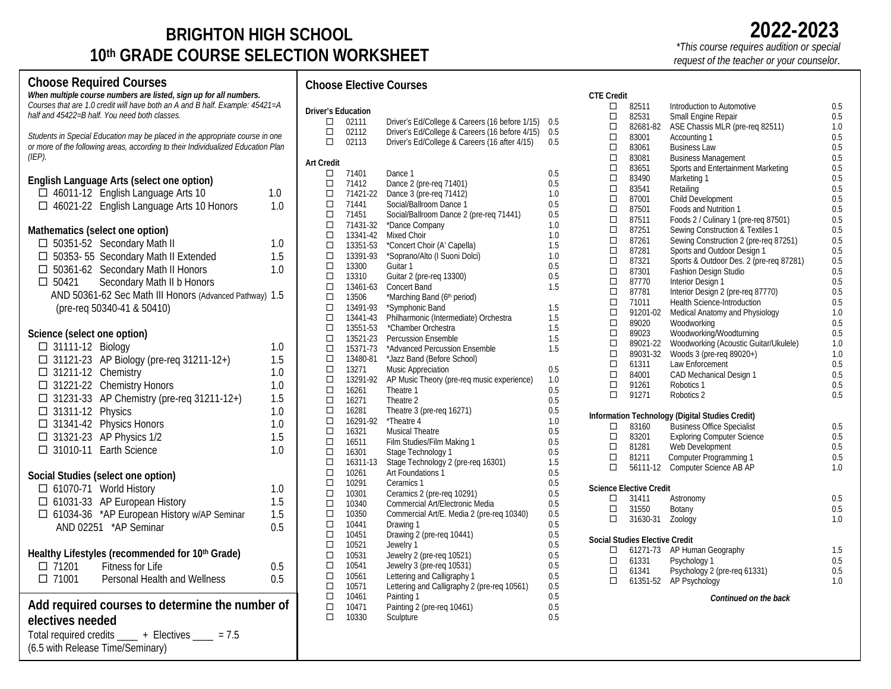# **BRIGHTON HIGH SCHOOL 10th GRADE COURSE SELECTION WORKSHEET**

**Choose Required Courses**

*When multiple course numbers are listed, sign up for all numbers.*

**Choose Elective Courses CTE Credit**

| Courses that are 1.0 credit will have both an A and B half. Example: 45421=A<br>half and 45422=B half. You need both classes. |     | <b>Driver's Education</b>   |                      |                                                                                                  |            |       |
|-------------------------------------------------------------------------------------------------------------------------------|-----|-----------------------------|----------------------|--------------------------------------------------------------------------------------------------|------------|-------|
| Students in Special Education may be placed in the appropriate course in one                                                  |     | $\Box$<br>$\Box$            | 02111<br>02112       | Driver's Ed/College & Careers (16 before 1/15)<br>Driver's Ed/College & Careers (16 before 4/15) | 0.5<br>0.5 |       |
| or more of the following areas, according to their Individualized Education Plan<br>$(EP)$ .                                  |     | $\Box$                      | 02113                | Driver's Ed/College & Careers (16 after 4/15)                                                    | 0.5        |       |
|                                                                                                                               |     | <b>Art Credit</b><br>$\Box$ | 71401                | Dance 1                                                                                          | 0.5        |       |
| English Language Arts (select one option)                                                                                     |     | $\Box$                      | 71412                | Dance 2 (pre-req 71401)                                                                          | 0.5        |       |
| 46011-12 English Language Arts 10                                                                                             | 1.0 | $\Box$                      | 71421-22             | Dance 3 (pre-req 71412)                                                                          | 1.0        |       |
| □ 46021-22 English Language Arts 10 Honors                                                                                    | 1.0 | $\Box$                      | 71441                | Social/Ballroom Dance 1                                                                          | 0.5        |       |
|                                                                                                                               |     | $\Box$                      | 71451                | Social/Ballroom Dance 2 (pre-req 71441)                                                          | 0.5        |       |
|                                                                                                                               |     | $\Box$                      | 71431-32             | *Dance Company                                                                                   | 1.0        |       |
| Mathematics (select one option)                                                                                               |     | $\hfill\square$             | 13341-42             | Mixed Choir                                                                                      | 1.0        |       |
| □ 50351-52 Secondary Math II                                                                                                  | 1.0 | $\Box$                      | 13351-53             | *Concert Choir (A' Capella)                                                                      | 1.5        |       |
| □ 50353-55 Secondary Math II Extended                                                                                         | 1.5 | $\Box$                      | 13391-93             | *Soprano/Alto (I Suoni Dolci)                                                                    | 1.0        |       |
| □ 50361-62 Secondary Math II Honors                                                                                           | 1.0 | $\Box$                      | 13300                | Guitar 1                                                                                         | 0.5        |       |
| Secondary Math II b Honors<br>$\square$ 50421                                                                                 |     | $\Box$                      | 13310                | Guitar 2 (pre-req 13300)                                                                         | 0.5        |       |
| AND 50361-62 Sec Math III Honors (Advanced Pathway) 1.5                                                                       |     | $\Box$                      | 13461-63             | Concert Band                                                                                     | 1.5        |       |
|                                                                                                                               |     | $\Box$                      | 13506                | *Marching Band (6th period)                                                                      |            |       |
| (pre-req 50340-41 & 50410)                                                                                                    |     | $\Box$                      | 13491-93             | *Symphonic Band                                                                                  | 1.5        |       |
|                                                                                                                               |     | $\Box$<br>$\Box$            | 13441-43             | Philharmonic (Intermediate) Orchestra                                                            | 1.5<br>1.5 |       |
| Science (select one option)                                                                                                   |     | $\Box$                      | 13551-53<br>13521-23 | *Chamber Orchestra<br><b>Percussion Ensemble</b>                                                 | 1.5        |       |
| □ 31111-12 Biology                                                                                                            | 1.0 | $\Box$                      | 15371-73             | *Advanced Percussion Ensemble                                                                    | 1.5        |       |
| □ 31121-23 AP Biology (pre-req 31211-12+)                                                                                     | 1.5 | $\Box$                      | 13480-81             | *Jazz Band (Before School)                                                                       |            |       |
|                                                                                                                               | 1.0 | $\Box$                      | 13271                | <b>Music Appreciation</b>                                                                        | 0.5        |       |
| $\Box$ 31211-12 Chemistry                                                                                                     |     | $\Box$                      | 13291-92             | AP Music Theory (pre-req music experience)                                                       | 1.0        |       |
| □ 31221-22 Chemistry Honors                                                                                                   | 1.0 | $\Box$                      | 16261                | Theatre 1                                                                                        | 0.5        |       |
| $\Box$ 31231-33 AP Chemistry (pre-req 31211-12+)                                                                              | 1.5 | $\Box$                      | 16271                | Theatre 2                                                                                        | 0.5        |       |
| $\Box$ 31311-12 Physics                                                                                                       | 1.0 | $\Box$                      | 16281                | Theatre 3 (pre-req 16271)                                                                        | 0.5        | Infor |
| □ 31341-42 Physics Honors                                                                                                     | 1.0 | $\Box$                      | 16291-92             | *Theatre 4                                                                                       | 1.0        |       |
| □ 31321-23 AP Physics 1/2                                                                                                     | 1.5 | $\Box$                      | 16321                | Musical Theatre                                                                                  | 0.5        |       |
| □ 31010-11 Earth Science                                                                                                      | 1.0 | $\Box$                      | 16511                | Film Studies/Film Making 1                                                                       | 0.5        |       |
|                                                                                                                               |     | $\Box$                      | 16301                | Stage Technology 1                                                                               | 0.5        |       |
|                                                                                                                               |     | $\Box$                      | 16311-13             | Stage Technology 2 (pre-req 16301)                                                               | 1.5        |       |
| Social Studies (select one option)                                                                                            |     | $\Box$<br>$\Box$            | 10261                | Art Foundations 1                                                                                | 0.5        |       |
| $\Box$ 61070-71 World History                                                                                                 | 1.0 | $\Box$                      | 10291<br>10301       | Ceramics 1<br>Ceramics 2 (pre-req 10291)                                                         | 0.5<br>0.5 | Scie  |
| □ 61031-33 AP European History                                                                                                | 1.5 | $\Box$                      | 10340                | Commercial Art/Electronic Media                                                                  | 0.5        |       |
| □ 61034-36 *AP European History w/AP Seminar                                                                                  | 1.5 | $\hfill\square$             | 10350                | Commercial Art/E. Media 2 (pre-req 10340)                                                        | $0.5\,$    |       |
|                                                                                                                               | 0.5 | $\Box$                      | 10441                | Drawing 1                                                                                        | 0.5        |       |
| AND 02251 *AP Seminar                                                                                                         |     | $\Box$                      | 10451                | Drawing 2 (pre-req 10441)                                                                        | 0.5        |       |
|                                                                                                                               |     | $\Box$                      | 10521                | Jewelry 1                                                                                        | 0.5        | Soci  |
| Healthy Lifestyles (recommended for 10th Grade)                                                                               |     | $\Box$                      | 10531                | Jewelry 2 (pre-req 10521)                                                                        | 0.5        |       |
| $\Box$ 71201<br>Fitness for Life                                                                                              | 0.5 | $\Box$                      | 10541                | Jewelry 3 (pre-req 10531)                                                                        | 0.5        |       |
| $\Box$ 71001<br>Personal Health and Wellness                                                                                  | 0.5 | $\Box$                      | 10561                | Lettering and Calligraphy 1                                                                      | 0.5        |       |
|                                                                                                                               |     | $\Box$                      | 10571                | Lettering and Calligraphy 2 (pre-req 10561)                                                      | 0.5        |       |
|                                                                                                                               |     | $\Box$                      | 10461                | Painting 1                                                                                       | 0.5        |       |
| Add required courses to determine the number of                                                                               |     | $\Box$                      | 10471                | Painting 2 (pre-req 10461)                                                                       | 0.5        |       |
| electives needed                                                                                                              |     | $\Box$                      | 10330                | Sculpture                                                                                        | 0.5        |       |
| Total required credits $\frac{\ }{}$ + Electives $\frac{\ }{}$ = 7.5                                                          |     |                             |                      |                                                                                                  |            |       |
| (6.5 with Release Time/Seminary)                                                                                              |     |                             |                      |                                                                                                  |            |       |
|                                                                                                                               |     |                             |                      |                                                                                                  |            |       |

| □      | 82511                          | Introduction to Automotive                      | 0.5 |
|--------|--------------------------------|-------------------------------------------------|-----|
| □      | 82531                          | Small Engine Repair                             | 0.5 |
| □      | 82681-82                       | ASE Chassis MLR (pre-req 82511)                 | 1.0 |
| □      | 83001                          | Accounting 1                                    | 0.5 |
| □      | 83061                          | <b>Business Law</b>                             | 0.5 |
| □      | 83081                          | <b>Business Management</b>                      | 0.5 |
| □      | 83651                          | Sports and Entertainment Marketing              | 0.5 |
| □      | 83490                          | Marketing 1                                     | 0.5 |
| □      | 83541                          | Retailing                                       | 0.5 |
| □      | 87001                          | Child Development                               | 0.5 |
| □      | 87501                          | Foods and Nutrition 1                           | 0.5 |
| □      | 87511                          | Foods 2 / Culinary 1 (pre-req 87501)            | 0.5 |
| □      | 87251                          | Sewing Construction & Textiles 1                | 0.5 |
| □      | 87261                          | Sewing Construction 2 (pre-req 87251)           | 0.5 |
| □      | 87281                          | Sports and Outdoor Design 1                     | 0.5 |
| □      | 87321                          | Sports & Outdoor Des. 2 (pre-req 87281)         | 0.5 |
| □      | 87301                          | Fashion Design Studio                           | 0.5 |
| □      | 87770                          | Interior Design 1                               | 0.5 |
| □      | 87781                          | Interior Design 2 (pre-req 87770)               | 0.5 |
| □      | 71011                          | Health Science-Introduction                     | 0.5 |
| $\Box$ | 91201-02                       | Medical Anatomy and Physiology                  | 1.0 |
| $\Box$ | 89020                          | Woodworking                                     | 0.5 |
| $\Box$ | 89023                          | Woodworking/Woodturning                         | 0.5 |
| $\Box$ | 89021-22                       | Woodworking (Acoustic Guitar/Ukulele)           | 1.0 |
| $\Box$ | 89031-32                       | Woods 3 (pre-req 89020+)                        | 1.0 |
| □      | 61311                          | Law Enforcement                                 | 0.5 |
| □      | 84001                          | CAD Mechanical Design 1                         | 0.5 |
| $\Box$ | 91261                          | Robotics 1                                      | 0.5 |
| $\Box$ | 91271                          | Robotics 2                                      | 0.5 |
|        |                                | Information Technology (Digital Studies Credit) |     |
| □      | 83160                          | <b>Business Office Specialist</b>               | 0.5 |
| $\Box$ | 83201                          | <b>Exploring Computer Science</b>               | 0.5 |
| $\Box$ | 81281                          | Web Development                                 | 0.5 |
| □      | 81211                          | Computer Programming 1                          | 0.5 |
| □      | 56111-12                       | Computer Science AB AP                          | 1.0 |
|        | <b>Science Elective Credit</b> |                                                 |     |
| П      | 31411                          | Astronomy                                       | 0.5 |
| □      | 31550                          | Botany                                          | 0.5 |
| П      | 31630-31                       | Zoology                                         | 1.0 |
|        | Social Studies Elective Credit |                                                 |     |
| □      |                                | 61271-73 AP Human Geography                     | 1.5 |
| $\Box$ | 61331                          | Psychology 1                                    | 0.5 |
| $\Box$ | 61341                          | Psychology 2 (pre-req 61331)                    | 0.5 |
| П      | 61351-52                       | AP Psychology                                   | 1.0 |
|        |                                | Continued on the back                           |     |

*\*This course requires audition or special* 

*request of the teacher or your counselor.*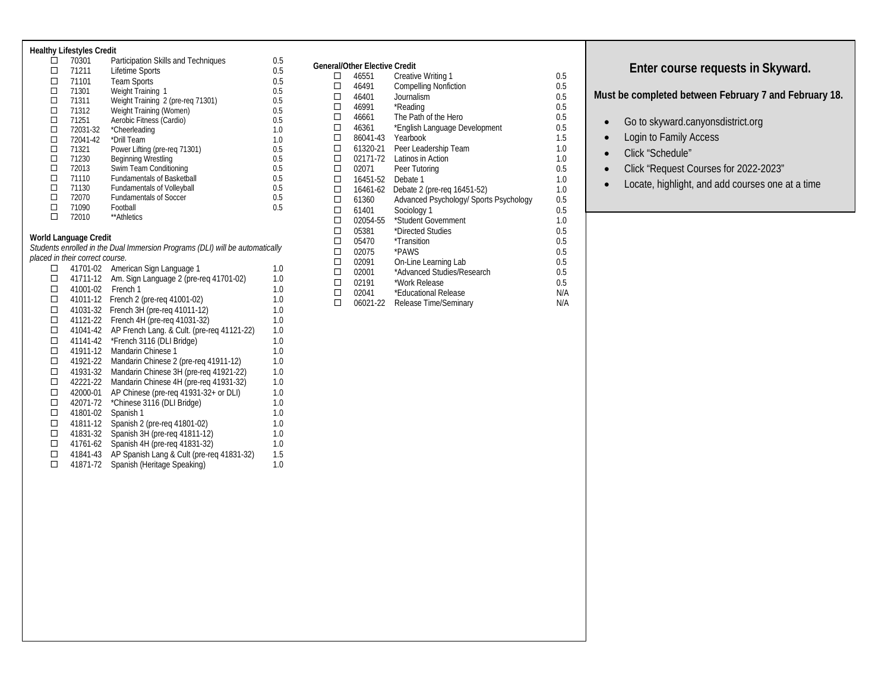#### **Healthy Lifestyles Credit**

| п | 70301    | Participation Skills and Techniques | 0.5 |
|---|----------|-------------------------------------|-----|
| □ | 71211    | Lifetime Sports                     | 0.5 |
| □ | 71101    | <b>Team Sports</b>                  | 0.5 |
| □ | 71301    | Weight Training 1                   | 0.5 |
| □ | 71311    | Weight Training 2 (pre-reg 71301)   | 0.5 |
| □ | 71312    | Weight Training (Women)             | 0.5 |
| □ | 71251    | Aerobic Fitness (Cardio)            | 0.5 |
| □ | 72031-32 | *Cheerleading                       | 1.0 |
| □ | 72041-42 | *Drill Team                         | 1.0 |
| □ | 71321    | Power Lifting (pre-reg 71301)       | 0.5 |
| □ | 71230    | <b>Beginning Wrestling</b>          | 0.5 |
| □ | 72013    | Swim Team Conditioning              | 0.5 |
| □ | 71110    | <b>Fundamentals of Basketball</b>   | 0.5 |
| □ | 71130    | <b>Fundamentals of Volleyball</b>   | 0.5 |
| □ | 72070    | <b>Fundamentals of Soccer</b>       | 0.5 |
| п | 71090    | Football                            | 0.5 |
| П | 72010    | **Athletics                         |     |

#### **World Language Credit**

*Students enrolled in the Dual Immersion Programs (DLI) will be automatically placed in their correct course.*

| □      | 41701-02 | American Sign Language 1                   | 1.0 |
|--------|----------|--------------------------------------------|-----|
| п      | 41711-12 | Am. Sign Language 2 (pre-reg 41701-02)     | 1.0 |
| □      | 41001-02 | French 1                                   | 1.0 |
| $\Box$ | 41011-12 | French 2 (pre-reg 41001-02)                | 1.0 |
| □      | 41031-32 | French 3H (pre-reg 41011-12)               | 1.0 |
| □      | 41121-22 | French 4H (pre-reg 41031-32)               | 1.0 |
| □      | 41041-42 | AP French Lang. & Cult. (pre-req 41121-22) | 1.0 |
| □      | 41141-42 | *French 3116 (DLI Bridge)                  | 1.0 |
| □      | 41911-12 | Mandarin Chinese 1                         | 1.0 |
| □      | 41921-22 | Mandarin Chinese 2 (pre-reg 41911-12)      | 1.0 |
| □      | 41931-32 | Mandarin Chinese 3H (pre-reg 41921-22)     | 1.0 |
| □      | 42221-22 | Mandarin Chinese 4H (pre-req 41931-32)     | 1.0 |
| □      | 42000-01 | AP Chinese (pre-reg 41931-32+ or DLI)      | 1.0 |
| □      | 42071-72 | *Chinese 3116 (DLI Bridge)                 | 1.0 |
| □      | 41801-02 | Spanish 1                                  | 1.0 |
| □      | 41811-12 | Spanish 2 (pre-reg 41801-02)               | 1.0 |
| □      | 41831-32 | Spanish 3H (pre-reg 41811-12)              | 1.0 |
| □      | 41761-62 | Spanish 4H (pre-reg 41831-32)              | 1.0 |
| □      | 41841-43 | AP Spanish Lang & Cult (pre-reg 41831-32)  | 1.5 |
| п      | 41871-72 | Spanish (Heritage Speaking)                | 1.0 |
|        |          |                                            |     |

|        | General/Other Elective Credit |                                        |     |
|--------|-------------------------------|----------------------------------------|-----|
| □      | 46551                         | Creative Writing 1                     | 0.5 |
| □      | 46491                         | <b>Compelling Nonfiction</b>           | 0.5 |
| □      | 46401                         | Journalism                             | 0.5 |
| □      | 46991                         | *Reading                               | 0.5 |
| □      | 46661                         | The Path of the Hero                   | 0.5 |
| □      | 46361                         | *English Language Development          | 0.5 |
| □      |                               | 86041-43 Yearbook                      | 1.5 |
| □      | 61320-21                      | Peer Leadership Team                   | 1.0 |
| □      | 02171-72                      | Latinos in Action                      | 1.0 |
| $\Box$ | 02071                         | Peer Tutoring                          | 0.5 |
| □      | 16451-52                      | Debate 1                               | 1.0 |
| □      | 16461-62                      | Debate 2 (pre-reg 16451-52)            | 1.0 |
| □      | 61360                         | Advanced Psychology/ Sports Psychology | 0.5 |
| $\Box$ | 61401                         | Sociology 1                            | 0.5 |
| □      | 02054-55                      | *Student Government                    | 1.0 |
| $\Box$ | 05381                         | *Directed Studies                      | 0.5 |
| □      | 05470                         | *Transition                            | 0.5 |
| □      | 02075                         | *PAWS                                  | 0.5 |
| □      | 02091                         | On-Line Learning Lab                   | 0.5 |
| □      | 02001                         | *Advanced Studies/Research             | 0.5 |
| □      | 02191                         | *Work Release                          | 0.5 |
| □      | 02041                         | *Educational Release                   | N/A |
| □      | 06021-22                      | Release Time/Seminary                  | N/A |

### **Enter course requests in Skyward.**

**Must be completed between February 7 and February 18.**

- Go to skyward.canyonsdistrict.org
- Login to Family Access
- Click "Schedule"
- Click "Request Courses for 2022-2023"
- Locate, highlight, and add courses one at a time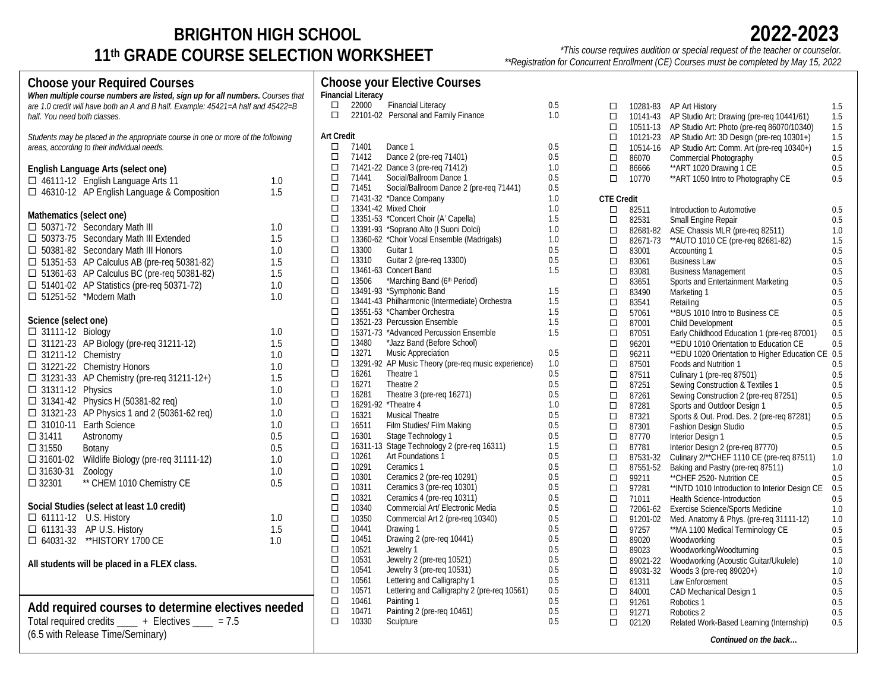# **BRIGHTON HIGH SCHOOL 11th GRADE COURSE SELECTION WORKSHEET**

*\*This course requires audition or special request of the teacher or counselor. \*\*Registration for Concurrent Enrollment (CE) Courses must be completed by May 15, 2022*

| <b>Choose your Required Courses</b>                                              |     |                   |                           | <b>Choose your Elective Courses</b>                    |            |                   |                |                                                     |            |
|----------------------------------------------------------------------------------|-----|-------------------|---------------------------|--------------------------------------------------------|------------|-------------------|----------------|-----------------------------------------------------|------------|
| When multiple course numbers are listed, sign up for all numbers. Courses that   |     |                   | <b>Financial Literacy</b> |                                                        |            |                   |                |                                                     |            |
| are 1.0 credit will have both an A and B half. Example: 45421=A half and 45422=B |     | $\Box$            | 22000                     | <b>Financial Literacy</b>                              | 0.5        | $\Box$            |                | 10281-83 AP Art History                             | 1.5        |
| half. You need both classes.                                                     |     | $\Box$            |                           | 22101-02 Personal and Family Finance                   | 1.0        | $\Box$            |                | 10141-43 AP Studio Art: Drawing (pre-req 10441/61)  | 1.5        |
|                                                                                  |     |                   |                           |                                                        |            | $\Box$            |                | 10511-13 AP Studio Art: Photo (pre-reg 86070/10340) | 1.5        |
| Students may be placed in the appropriate course in one or more of the following |     | <b>Art Credit</b> |                           |                                                        |            | $\Box$            | 10121-23       | AP Studio Art: 3D Design (pre-req 10301+)           | 1.5        |
| areas, according to their individual needs.                                      |     | $\Box$            | 71401                     | Dance 1                                                | 0.5        | $\Box$            |                | 10514-16 AP Studio Art: Comm. Art (pre-req 10340+)  | 1.5        |
|                                                                                  |     | $\Box$            | 71412                     | Dance 2 (pre-reg 71401)                                | 0.5        | $\Box$            | 86070          | Commercial Photography                              | 0.5        |
| English Language Arts (select one)                                               |     | $\Box$            |                           | 71421-22 Dance 3 (pre-reg 71412)                       | 1.0        | $\Box$            | 86666          | ** ART 1020 Drawing 1 CE                            | 0.5        |
| □ 46111-12 English Language Arts 11                                              | 1.0 | $\Box$            | 71441                     | Social/Ballroom Dance 1                                | 0.5        | $\Box$            | 10770          | ** ART 1050 Intro to Photography CE                 | 0.5        |
| □ 46310-12 AP English Language & Composition                                     | 1.5 | □                 | 71451                     | Social/Ballroom Dance 2 (pre-req 71441)                | 0.5        |                   |                |                                                     |            |
|                                                                                  |     | $\Box$            |                           | 71431-32 *Dance Company                                | 1.0        | <b>CTE Credit</b> |                |                                                     |            |
| Mathematics (select one)                                                         |     | $\Box$            |                           | 13341-42 Mixed Choir                                   | 1.0        | $\Box$            | 82511          | Introduction to Automotive                          | 0.5        |
| □ 50371-72 Secondary Math III                                                    | 1.0 | $\Box$            |                           | 13351-53 *Concert Choir (A' Capella)                   | 1.5        | $\Box$            | 82531          | Small Engine Repair                                 | 0.5        |
| □ 50373-75 Secondary Math III Extended                                           | 1.5 | □<br>$\Box$       |                           | 13391-93 *Soprano Alto (I Suoni Dolci)                 | 1.0        | $\Box$            | 82681-82       | ASE Chassis MLR (pre-req 82511)                     | 1.0        |
|                                                                                  |     | $\Box$            | 13300                     | 13360-62 *Choir Vocal Ensemble (Madrigals)<br>Guitar 1 | 1.0<br>0.5 | $\Box$            | 82671-73       | ** AUTO 1010 CE (pre-reg 82681-82)                  | 1.5        |
| □ 50381-82 Secondary Math III Honors                                             | 1.0 | □                 | 13310                     | Guitar 2 (pre-req 13300)                               | 0.5        | $\Box$            | 83001          | Accounting 1                                        | 0.5        |
| □ 51351-53 AP Calculus AB (pre-req 50381-82)                                     | 1.5 | $\Box$            |                           | 13461-63 Concert Band                                  | 1.5        | $\Box$            | 83061          | <b>Business Law</b>                                 | 0.5<br>0.5 |
| □ 51361-63 AP Calculus BC (pre-req 50381-82)                                     | 1.5 | $\Box$            | 13506                     | *Marching Band (6th Period)                            |            | $\Box$<br>$\Box$  | 83081          | <b>Business Management</b>                          |            |
| □ 51401-02 AP Statistics (pre-req 50371-72)                                      | 1.0 | $\Box$            |                           | 13491-93 *Symphonic Band                               | 1.5        | $\Box$            | 83651<br>83490 | Sports and Entertainment Marketing<br>Marketing 1   | 0.5<br>0.5 |
| □ 51251-52 *Modern Math                                                          | 1.0 | $\Box$            |                           | 13441-43 Philharmonic (Intermediate) Orchestra         | 1.5        | $\Box$            | 83541          | Retailing                                           | 0.5        |
|                                                                                  |     | $\Box$            |                           | 13551-53 *Chamber Orchestra                            | 1.5        | $\Box$            | 57061          | **BUS 1010 Intro to Business CE                     | 0.5        |
| Science (select one)                                                             |     | $\Box$            |                           | 13521-23 Percussion Ensemble                           | 1.5        | $\Box$            | 87001          | Child Development                                   | 0.5        |
| $\Box$ 31111-12 Biology                                                          | 1.0 | $\Box$            |                           | 15371-73 *Advanced Percussion Ensemble                 | 1.5        | $\Box$            | 87051          | Early Childhood Education 1 (pre-req 87001)         | 0.5        |
| □ 31121-23 AP Biology (pre-req 31211-12)                                         | 1.5 | $\Box$            | 13480                     | *Jazz Band (Before School)                             |            | $\Box$            | 96201          | ** EDU 1010 Orientation to Education CE             | 0.5        |
| $\Box$ 31211-12 Chemistry                                                        | 1.0 | $\Box$            | 13271                     | <b>Music Appreciation</b>                              | 0.5        | $\Box$            | 96211          | ** EDU 1020 Orientation to Higher Education CE 0.5  |            |
| □ 31221-22 Chemistry Honors                                                      | 1.0 | $\Box$            |                           | 13291-92 AP Music Theory (pre-req music experience)    | 1.0        | $\Box$            | 87501          | Foods and Nutrition 1                               | 0.5        |
| $\Box$ 31231-33 AP Chemistry (pre-req 31211-12+)                                 | 1.5 | $\Box$            | 16261                     | Theatre 1                                              | 0.5        | $\Box$            | 87511          | Culinary 1 (pre-reg 87501)                          | 0.5        |
|                                                                                  |     | $\Box$            | 16271                     | Theatre 2                                              | 0.5        | $\Box$            | 87251          | Sewing Construction & Textiles 1                    | 0.5        |
| $\Box$ 31311-12 Physics                                                          | 1.0 | $\Box$            | 16281                     | Theatre 3 (pre-req 16271)                              | 0.5        | $\Box$            | 87261          | Sewing Construction 2 (pre-req 87251)               | 0.5        |
| □ 31341-42 Physics H (50381-82 req)                                              | 1.0 | $\Box$            |                           | 16291-92 *Theatre 4                                    | 1.0        | $\Box$            | 87281          | Sports and Outdoor Design 1                         | 0.5        |
| □ 31321-23 AP Physics 1 and 2 (50361-62 req)                                     | 1.0 | $\Box$            | 16321                     | <b>Musical Theatre</b>                                 | 0.5        | $\Box$            | 87321          | Sports & Out. Prod. Des. 2 (pre-req 87281)          | 0.5        |
| $\Box$ 31010-11 Earth Science                                                    | 1.0 | $\Box$            | 16511                     | Film Studies/ Film Making                              | 0.5        | $\Box$            | 87301          | Fashion Design Studio                               | 0.5        |
| $\Box$ 31411<br>Astronomy                                                        | 0.5 | $\Box$            | 16301                     | Stage Technology 1                                     | 0.5        | $\Box$            | 87770          | Interior Design 1                                   | 0.5        |
| $\Box$ 31550<br>Botany                                                           | 0.5 | $\Box$            |                           | 16311-13 Stage Technology 2 (pre-reg 16311)            | 1.5        | $\Box$            | 87781          | Interior Design 2 (pre-req 87770)                   | 0.5        |
| □ 31601-02 Wildlife Biology (pre-req 31111-12)                                   | 1.0 | $\Box$            | 10261                     | Art Foundations 1                                      | 0.5        | $\Box$            | 87531-32       | Culinary 2/**CHEF 1110 CE (pre-req 87511)           | 1.0        |
| $\square$ 31630-31<br>Zoology                                                    | 1.0 | $\Box$            | 10291                     | Ceramics 1                                             | 0.5        | $\Box$            | 87551-52       | Baking and Pastry (pre-req 87511)                   | 1.0        |
| ** CHEM 1010 Chemistry CE<br>$\Box$ 32301                                        | 0.5 | □                 | 10301                     | Ceramics 2 (pre-req 10291)                             | 0.5        | $\Box$            | 99211          | ** CHEF 2520- Nutrition CE                          | 0.5        |
|                                                                                  |     | $\Box$            | 10311                     | Ceramics 3 (pre-req 10301)                             | $0.5\,$    | $\Box$            | 97281          | **INTD 1010 Introduction to Interior Design CE      | 0.5        |
| Social Studies (select at least 1.0 credit)                                      |     | $\Box$            | 10321                     | Ceramics 4 (pre-reg 10311)                             | $0.5\,$    | $\Box$            | 71011          | Health Science-Introduction                         | 0.5        |
|                                                                                  | 1.0 | $\Box$            | 10340<br>10350            | Commercial Art/ Electronic Media                       | 0.5        | $\Box$            | 72061-62       | <b>Exercise Science/Sports Medicine</b>             | 1.0        |
| □ 61111-12 U.S. History                                                          |     | $\Box$<br>$\Box$  | 10441                     | Commercial Art 2 (pre-req 10340)                       | 0.5<br>0.5 | $\Box$            | 91201-02       | Med. Anatomy & Phys. (pre-req 31111-12)             | 1.0        |
| □ 61131-33 AP U.S. History                                                       | 1.5 | $\Box$            | 10451                     | Drawing 1<br>Drawing 2 (pre-reg 10441)                 | 0.5        | $\Box$            | 97257          | ** MA 1100 Medical Terminology CE                   | 0.5        |
| □ 64031-32 ** HISTORY 1700 CE                                                    | 1.0 | $\Box$            | 10521                     | Jewelry 1                                              | 0.5        | $\Box$            | 89020          | Woodworking                                         | 0.5        |
|                                                                                  |     | $\Box$            | 10531                     | Jewelry 2 (pre-req 10521)                              | 0.5        | $\Box$            | 89023          | Woodworking/Woodturning                             | 0.5        |
| All students will be placed in a FLEX class.                                     |     | $\Box$            | 10541                     | Jewelry 3 (pre-reg 10531)                              | 0.5        | $\Box$<br>$\Box$  | 89021-22       | Woodworking (Acoustic Guitar/Ukulele)               | 1.0        |
|                                                                                  |     | $\Box$            | 10561                     | Lettering and Calligraphy 1                            | 0.5        |                   | 89031-32       | Woods 3 (pre-req 89020+)                            | 1.0        |
|                                                                                  |     | $\Box$            | 10571                     | Lettering and Calligraphy 2 (pre-req 10561)            | 0.5        | $\Box$<br>$\Box$  | 61311<br>84001 | Law Enforcement                                     | 0.5<br>0.5 |
|                                                                                  |     | $\Box$            | 10461                     | Painting 1                                             | 0.5        | $\Box$            | 91261          | CAD Mechanical Design 1<br>Robotics 1               | 0.5        |
| Add required courses to determine electives needed                               |     | $\Box$            | 10471                     | Painting 2 (pre-reg 10461)                             | 0.5        | $\Box$            | 91271          | Robotics 2                                          | 0.5        |
| Total required credits _____ + Electives ____ = 7.5                              |     | $\Box$            | 10330                     | Sculpture                                              | 0.5        | $\Box$            | 02120          | Related Work-Based Learning (Internship)            | 0.5        |
| (6.5 with Release Time/Seminary)                                                 |     |                   |                           |                                                        |            |                   |                |                                                     |            |
|                                                                                  |     |                   |                           |                                                        |            |                   |                | Continued on the back                               |            |
|                                                                                  |     |                   |                           |                                                        |            |                   |                |                                                     |            |

**2022-2023**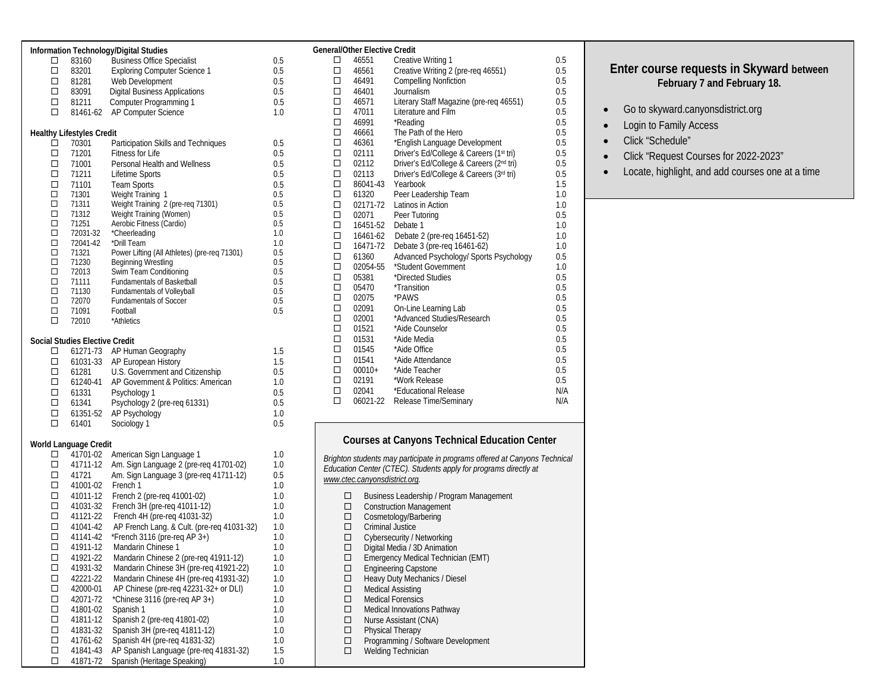|        |                                  | Information Technology/Digital Studies       |     |
|--------|----------------------------------|----------------------------------------------|-----|
| п      | 83160                            | <b>Business Office Specialist</b>            | 0.5 |
| □      | 83201                            | <b>Exploring Computer Science 1</b>          | 0.5 |
| □      | 81281                            | Web Development                              | 0.5 |
| $\Box$ | 83091                            | <b>Digital Business Applications</b>         | 0.5 |
| $\Box$ | 81211                            | Computer Programming 1                       | 0.5 |
| п      | 81461-62                         | AP Computer Science                          | 1.0 |
|        |                                  |                                              |     |
|        | <b>Healthy Lifestyles Credit</b> |                                              |     |
| п      | 70301                            | Participation Skills and Techniques          | 0.5 |
| п      | 71201                            | Fitness for Life                             | 0.5 |
| □      | 71001                            | Personal Health and Wellness                 | 0.5 |
| □      | 71211                            | Lifetime Sports                              | 0.5 |
| $\Box$ | 71101                            | <b>Team Sports</b>                           | 0.5 |
| $\Box$ | 71301                            | Weight Training 1                            | 0.5 |
| $\Box$ | 71311                            | Weight Training 2 (pre-req 71301)            | 0.5 |
| $\Box$ | 71312                            | Weight Training (Women)                      | 0.5 |
| $\Box$ | 71251                            | Aerobic Fitness (Cardio)                     | 0.5 |
| $\Box$ | 72031-32                         | *Cheerleading                                | 1.0 |
| $\Box$ | 72041-42                         | *Drill Team                                  | 1.0 |
| $\Box$ | 71321                            | Power Lifting (All Athletes) (pre-req 71301) | 0.5 |
| $\Box$ | 71230                            | Beginning Wrestling                          | 0.5 |
| $\Box$ | 72013                            | Swim Team Conditioning                       | 0.5 |
| $\Box$ | 71111                            | Fundamentals of Basketball                   | 0.5 |
| $\Box$ | 71130                            | <b>Fundamentals of Volleyball</b>            | 0.5 |
| □      | 72070                            | <b>Fundamentals of Soccer</b>                | 0.5 |
| $\Box$ | 71091                            | Football                                     | 0.5 |
| П      | 72010                            | *Athletics                                   |     |

#### **Social Studies Elective Credit**

| □                    | 61271-73 | AP Human Geography                 | 1.5 |  |
|----------------------|----------|------------------------------------|-----|--|
| □                    | 61031-33 | AP European History                | 1.5 |  |
| □                    | 61281    | U.S. Government and Citizenship    | 0.5 |  |
| □                    | 61240-41 | AP Government & Politics: American | 1.0 |  |
| □                    | 61331    | Psychology 1                       | 0.5 |  |
| п                    | 61341    | Psychology 2 (pre-reg 61331)       | 0.5 |  |
| □                    | 61351-52 | AP Psychology                      | 1.0 |  |
| п                    | 61401    | Sociology 1                        | 0.5 |  |
|                      |          |                                    |     |  |
| rld I anguago Crodit |          |                                    |     |  |

#### **World Language Credit**

| п      | 41701-02 | American Sign Language 1                   | 1.0 |
|--------|----------|--------------------------------------------|-----|
| П      | 41711-12 | Am. Sign Language 2 (pre-reg 41701-02)     | 1.0 |
| п      | 41721    | Am. Sign Language 3 (pre-reg 41711-12)     | 0.5 |
| □      | 41001-02 | French 1                                   | 1.0 |
| п      | 41011-12 | French 2 (pre-reg 41001-02)                | 1.0 |
| $\Box$ | 41031-32 | French 3H (pre-reg 41011-12)               | 1.0 |
| п      | 41121-22 | French 4H (pre-reg 41031-32)               | 1.0 |
| п      | 41041-42 | AP French Lang. & Cult. (pre-reg 41031-32) | 1.0 |
| п      | 41141-42 | *French 3116 (pre-reg AP $3+$ )            | 1.0 |
| □      | 41911-12 | Mandarin Chinese 1                         | 1.0 |
| п      | 41921-22 | Mandarin Chinese 2 (pre-req 41911-12)      | 1.0 |
| П      | 41931-32 | Mandarin Chinese 3H (pre-req 41921-22)     | 1.0 |
| п      | 42221-22 | Mandarin Chinese 4H (pre-reg 41931-32)     | 1.0 |
| □      | 42000-01 | AP Chinese (pre-req 42231-32+ or DLI)      | 1.0 |
| □      | 42071-72 | $^{\star}$ Chinese 3116 (pre-reg AP 3+)    | 1.0 |
| п      | 41801-02 | Spanish 1                                  | 1.0 |
| п      | 41811-12 | Spanish 2 (pre-reg 41801-02)               | 1.0 |
| п      | 41831-32 | Spanish 3H (pre-reg 41811-12)              | 1.0 |
| □      | 41761-62 | Spanish 4H (pre-reg 41831-32)              | 1.0 |
| п      | 41841-43 | AP Spanish Language (pre-reg 41831-32)     | 1.5 |
|        | 41871-72 | Spanish (Heritage Speaking)                | 1.0 |
|        |          |                                            |     |

|        | General/Other Elective Credit |                                         |     |
|--------|-------------------------------|-----------------------------------------|-----|
| п      | 46551                         | Creative Writing 1                      | 0.5 |
| □      | 46561                         | Creative Writing 2 (pre-reg 46551)      | 0.5 |
| $\Box$ | 46491                         | <b>Compelling Nonfiction</b>            | 0.5 |
| $\Box$ | 46401                         | Journalism                              | 0.5 |
| $\Box$ | 46571                         | Literary Staff Magazine (pre-req 46551) | 0.5 |
| $\Box$ | 47011                         | Literature and Film                     | 0.5 |
| $\Box$ | 46991                         | *Reading                                | 0.5 |
| $\Box$ | 46661                         | The Path of the Hero                    | 0.5 |
| $\Box$ | 46361                         | *English Language Development           | 0.5 |
| $\Box$ | 02111                         | Driver's Ed/College & Careers (1st tri) | 0.5 |
| $\Box$ | 02112                         | Driver's Ed/College & Careers (2nd tri) | 0.5 |
| $\Box$ | 02113                         | Driver's Ed/College & Careers (3rd tri) | 0.5 |
| $\Box$ | 86041-43                      | Yearbook                                | 1.5 |
| $\Box$ | 61320                         | Peer Leadership Team                    | 1.0 |
| $\Box$ | 02171-72                      | Latinos in Action                       | 1.0 |
| $\Box$ | 02071                         | Peer Tutoring                           | 0.5 |
| $\Box$ | 16451-52                      | Debate 1                                | 1.0 |
| $\Box$ | 16461-62                      | Debate 2 (pre-req 16451-52)             | 1.0 |
| $\Box$ | 16471-72                      | Debate 3 (pre-reg 16461-62)             | 1.0 |
| $\Box$ | 61360                         | Advanced Psychology/ Sports Psychology  | 0.5 |
| $\Box$ | 02054-55                      | *Student Government                     | 1.0 |
| $\Box$ | 05381                         | *Directed Studies                       | 0.5 |
| $\Box$ | 05470                         | *Transition                             | 0.5 |
| $\Box$ | 02075                         | *PAWS                                   | 0.5 |
| $\Box$ | 02091                         | On-Line Learning Lab                    | 0.5 |
| $\Box$ | 02001                         | *Advanced Studies/Research              | 0.5 |
| $\Box$ | 01521                         | *Aide Counselor                         | 0.5 |
| $\Box$ | 01531                         | *Aide Media                             | 0.5 |
| $\Box$ | 01545                         | *Aide Office                            | 0.5 |
| $\Box$ | 01541                         | *Aide Attendance                        | 0.5 |
| $\Box$ | $00010+$                      | *Aide Teacher                           | 0.5 |
| $\Box$ | 02191                         | *Work Release                           | 0.5 |
| $\Box$ | 02041                         | *Educational Release                    | N/A |
| П      | 06021-22                      | Release Time/Seminary                   | N/A |
|        |                               |                                         |     |

### **Courses at Canyons Technical Education Center**

*Brighton students may participate in programs offered at Canyons Technical Education Center (CTEC). Students apply for programs directly at www.ctec.canyonsdistrict.org.*

- □ Business Leadership / Program Management
- Construction Management
- □ Cosmetology/Barbering
- **Criminal Justice**
- Cybersecurity / Networking
- $\square$  Digital Media / 3D Animation
- Emergency Medical Technician (EMT)
- Engineering Capstone
- Heavy Duty Mechanics / Diesel
- □ Medical Assisting
- **D** Medical Forensics
- □ Medical Innovations Pathway
- □ Nurse Assistant (CNA)
- □ Physical Therapy<br>□ Programming / So
- Programming / Software Development
- □ Welding Technician

### **Enter course requests in Skyward between February 7 and February 18.**

- Go to skyward.canyonsdistrict.org
- Login to Family Access
- Click "Schedule"
- Click "Request Courses for 2022-2023"
- Locate, highlight, and add courses one at a time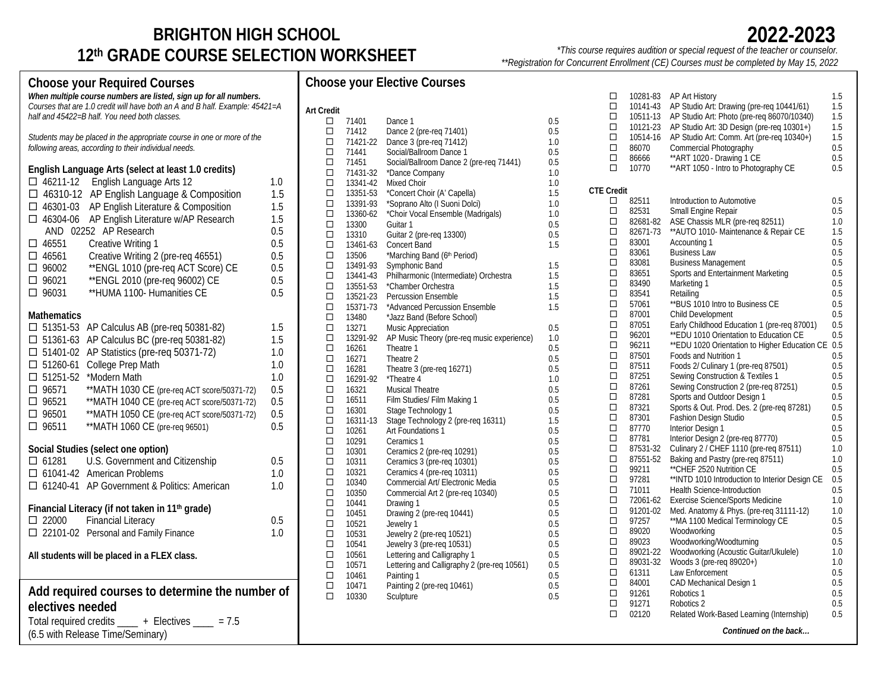# **BRIGHTON HIGH SCHOOL 12th GRADE COURSE SELECTION WORKSHEET**

*\*This course requires audition or special request of the teacher or counselor. \*\*Registration for Concurrent Enrollment (CE) Courses must be completed by May 15, 2022*

#### **Choose your Elective Courses Art Credit**  $\Box$  71401 Dance 1 0.5  $\Box$  71412 Dance 2 (pre-req 71401) 0.5<br> $\Box$  71421-22 Dance 3 (pre-reg 71412) 1.0  $\Box$  71421-22 Dance 3 (pre-req 71412) 1.0<br>  $\Box$  71441 Social/Ballroom Dance 1 0.5 71441 Social/Ballroom Dance 1 0.5  $\Box$  71451 Social/Ballroom Dance 2 (pre-req 71441) 0.5<br> $\Box$  71431-32 \*Dance Company 1.0  $\Box$  71431-32 \*Dance Company<br> $\Box$  13341-42 Mixed Choir  $\Box$  13341-42 Mixed Choir (A' Capella) 1.0<br> $\Box$  13351-53 \*Concert Choir (A' Capella) 1.5  $\Box$  13351-53 \*Concert Choir (A' Capella) 1.5<br> $\Box$  13391-93 \*Soprano Alto (I Suoni Dolci) 1.0  $\Box$  13391-93 \*Soprano Alto (I Suoni Dolci) 1.0<br> $\Box$  13360-62 \*Choir Vocal Ensemble (Madrigals) 1.0  $\Box$  13360-62 \*Choir Vocal Ensemble (Madrigals)<br> $\Box$  13300 Guitar 1  $\Box$  13300 Guitar 1 0.5 13310 Guitar 2 (pre-req 13300) 0.5  $\Box$  13461-63 Concert Band<br> $\Box$  13506 \*Marching Bar  $\Box$  13506 \*Marching Band (6<sup>th</sup> Period)<br> $\Box$  13491-93 Symphonic Band  $\square$  13491-93 Symphonic Band 1.5 (1.5 and 1.5 and 1.5 and 1.5 and 1.5 and 1.5 and 1.5 and 1.5 and 1.5 and 1.5 and 1.5 and 1.5 and 1.5 and 1.5 and 1.5 and 1.5 and 1.5 and 1.5 and 1.5 and 1.5 and 1.5 and 1.5 and 1.5 and 1.5  $\square$  13441-43 Philharmonic (Intermediate) Orchestra 1.5<br> $\square$  13551-53 \*Chamber Orchestra 1.5  $\Box$  13551-53 \*Chamber Orchestra 1.5<br>  $\Box$  13521-23 Percussion Ensemble 1.5  $\Box$  13521-23 Percussion Ensemble<br> $\Box$  15371-73 \*Advanced Percussion  $\Box$  15371-73 \*Advanced Percussion Ensemble 1.5<br>  $\Box$  13480 \* Jazz Band (Before School)  $\Box$  13480 \*Jazz Band (Before School)<br> $\Box$  13271 Music Appreciation  $\Box$  13271 Music Appreciation 0.5<br> $\Box$  13291-92 AP Music Theory (pre-reg music experience) 1.0  $\Box$  13291-92 AP Music Theory (pre-req music experience)<br> $\Box$  16261 Theatre 1.  $\Box$  16261 Theatre 1 0.5<br> $\Box$  16271 Theatre 2 0.5  $\Box$  16271 Theatre 2 0.5<br> $\Box$  16281 Theatre 3 (pre-reg 16271) 0.5  $\Box$  16281 Theatre 3 (pre-req 16271) 0.5<br> $\Box$  16291-92 \*Theatre 4 1.0  $\Box$  16291-92 \*Theatre 4 1.0<br> $\Box$  16321 Musical Theatre 6 1.0  $\Box$  16321 Musical Theatre  $\Box$  16511 Film Studies/Film 16511 Film Studies/ Film Making 1 0.5 16301 Stage Technology 1 0.5  $\Box$  16311-13 Stage Technology 2 (pre-req 16311) 1.5 1.5 10261 Art Foundations 1  $\Box$  10261 Art Foundations 1<br> $\Box$  10291 Ceramics 1 10291 Ceramics 1 0.5  $\Box$  10301 Ceramics 2 (pre-req 10291) 0.5<br> $\Box$  10311 Ceramics 3 (pre-req 10301) 0.5  $\Box$  10311 Ceramics 3 (pre-req 10301) 0.5<br> $\Box$  10321 Ceramics 4 (pre-req 10311) 0.5  $\Box$  10321 Ceramics 4 (pre-req 10311)<br> $\Box$  10340 Commercial Art/ Electronic 1  $\Box$  10340 Commercial Art/ Electronic Media  $\Box$  10350 Commercial Art 2 (pre-reg 10340) 0.5  $\Box$  10350 Commercial Art 2 (pre-req 10340) 0.5<br> $\Box$  10441 Drawing 1 10441 Drawing 1 0.5  $\Box$  10451 Drawing 2 (pre-req 10441)<br> $\Box$  10521 Jewelry 1  $\Box$  10521 Jewelry 1 0.5<br> $\Box$  10531 Jewelry 2 (pre-reg 10521) 0.5  $\Box$  10531 Jewelry 2 (pre-req 10521) 0.5<br> $\Box$  10541 Jewelry 3 (pre-reg 10531) 0.5  $\Box$  10541 Jewelry 3 (pre-req 10531) 0.5<br> $\Box$  10561 Lettering and Calligraphy 1 0.5  $\Box$  10561 Lettering and Calligraphy 1<br> $\Box$  10571 Lettering and Calligraphy 2  $\Box$  10571 Lettering and Calligraphy 2 (pre-req 10561) 0.5<br> $\Box$  10461 Painting 1  $\Box$  10461 Painting 1 0.5 (0.5 minutes) 0.5 (0.5 minutes) 0.5 (0.5 minutes) 0.5 (0.5 minutes) 0.5 (0.5 minutes) 0.5 (0.5 minutes) 0.5 (0.5 minutes) 0.5 (0.5 minutes) 0.5 (0.5 minutes) 0.5 (0.5 minutes) 0.5 minutes) 0.5 (0  $\Box$  10471 Painting 2 (pre-req 10461) 0.5<br>  $\Box$  10330 Sculpture 0.5 Sculpture □ 10281-83 AP Art History 1.5  $\Box$  10141-43 AP Studio Art: Drawing (pre-req 10441/61) 1.5<br> $\Box$  10511-13 AP Studio Art: Photo (pre-reg 86070/10340) 1.5  $\Box$  10511-13 AP Studio Art: Photo (pre-req 86070/10340) 1.5<br> $\Box$  10121-23 AP Studio Art: 3D Design (pre-reg 10301+) 1.5  $\Box$  10121-23 AP Studio Art: 3D Design (pre-req 10301+)<br> $\Box$  10514-16 AP Studio Art: Comm. Art (pre-req 10340+) 10514-16 AP Studio Art: Comm. Art (pre-req 10340+) 1.5  $\Box$  86070 Commercial Photography 0.5<br> $\Box$  86666 \*\*ART 1020 - Drawing 1 CE 0.5  $\square$  86666 \*\*ART 1020 - Drawing 1 CE 0.5<br> $\square$  10770 \*\*ART 1050 - Intro to Photography CE 0.5 \*\* ART 1050 - Intro to Photography CE **CTE Credit**  $\Box$  82511 Introduction to Automotive 0.5 0.5 0.5 0.5  $\square$  82531 Small Engine Repair 0.5 (0.5 Chassis MLR (pre-req 82511) 0.5  $\Box$  82681-82 ASE Chassis MLR (pre-req 82511)<br> $\Box$  82671-73 \*\*AUTO 1010-Maintenance & Repa 82671-73 \*\* AUTO 1010- Maintenance & Repair CE 1.5  $\Box$  83001 Accounting 1 0.5<br> $\Box$  83061 Business Law 0.5  $\Box$  83061 Business Law 0.5<br>  $\Box$  83081 Business Management 0.5  $\Box$  83081 Business Management 0.5<br> $\Box$  83651 Sports and Entertainment Marketing 0.5 Sports and Entertainment Marketing  $\Box$  83490 Marketing 1 0.5<br> $\Box$  83541 Retailing 0.5  $\Box$  83541 Retailing 0.5 (0.5 mm) 0.5 (0.5 mm) 0.5 (0.5 mm) 0.5 (0.5 mm) 0.5 (0.5 mm) 0.5 (0.5 mm) 0.5 (0.5 mm) 0.5 (0.5 mm) 0.5 (0.5 mm) 0.5 (0.5 mm) 0.5 (0.5 mm) 0.5 (0.5 mm) 0.5 (0.5 mm) 0.5 (0.5 mm) 0.5 (0.5 mm) 0.5 (  $\Box$  57061 \*\*BUS 1010 Intro to Business CE 0.5<br> $\Box$  87001 Child Development 0.5 Child Development  $\square$  87051 Early Childhood Education 1 (pre-req 87001) 0.5<br> $\square$  96201 \*\*EDU 1010 Orientation to Education CE 0.5  $\Box$  96201 \*\*EDU 1010 Orientation to Education CE<br>  $\Box$  96211 \*\*EDU 1020 Orientation to Higher Education  $\square$  96211 \*\*EDU 1020 Orientation to Higher Education CE 0.5<br> $\square$  87501 Foods and Nutrition 1 0.5 Foods and Nutrition 1  $\square$  87511 Foods 2/ Culinary 1 (pre-req 87501) 0.5<br> $\square$  87251 Sewing Construction & Textiles 1 0.5  $\Box$  87251 Sewing Construction & Textiles 1 0.5 0.5 0.5 Sewing Construction 2 (pre-rea 87251) 0.5  $\Box$  87261 Sewing Construction 2 (pre-req 87251) 0.5<br> $\Box$  87281 Sports and Outdoor Design 1 0.5 Sports and Outdoor Design 1  $\square$  87321 Sports & Out. Prod. Des. 2 (pre-req 87281) 0.5<br> $\square$  87301 Fashion Desian Studio 0.5  $\Box$  87301 Fashion Design Studio 0.5<br>  $\Box$  87770 Interior Design 1  $\Box$  87770 Interior Design 1 0.5<br>  $\Box$  87781 Interior Design 2 (pre-reg 87770) 0.5 Interior Design 2 (pre-reg 87770)  $\square$  87531-32 Culinary 2 / ČHEF 1110 (pre-req 87511) 1.0<br> $\square$  87551-52 Baking and Pastry (pre-reg 87511) 1.0  $\Box$  87551-52 Baking and Pastry (pre-req 87511) 1.0<br> $\Box$  99211 \*\* CHEF 2520 Nutrition CE 0.5  $\square$  99211 \*\*CHEF 2520 Nutrition CE 0.5 0.5 0.5 0.5 0.5 0.5 0.7 1010 Introduction to Interior Design CE 0.5 97281 \*\*INTD 1010 Introduction to Interior Design CE 0.5 **71011 Health Science-Introduction** 0.5  $\square$  72061-62 Exercise Science/Sports Medicine 1.0<br> $\square$  91201-02 Med. Anatomy & Phys. (pre-reg 31111-12) 1.0  $\square$  91201-02 Med. Anatomy & Phys. (pre-req 31111-12)  $\square$  97257 \*\* MA 1100 Medical Terminology CE  $\square$  97257 \*\*MA 1100 Medical Terminology CE 0.5<br> $\square$  89020 Woodworking 0.5 Woodworking 0.5 89023 Woodworking/Woodturning 0.5  $\Box$  89021-22 Woodworking (Acoustic Guitar/Ukulele)<br> $\Box$  89031-32 Woods 3 (pre-rea 89020+)  $\Box$  89031-32 Woods 3 (pre-req 89020+) 1.0<br>  $\Box$  61311 Law Enforcement 0.5 Law Enforcement 0.5  $\square$  84001 CAD Mechanical Design 1 0.5<br> $\square$  91261 Robotics 1 0.5  $\Box$  91261 Robotics 1 0.5<br> $\Box$  91271 Robotics 2 0.5  $\Box$  91271 Robotics 2 0.5<br> $\Box$  02120 Related Work-Based Learning (Internship) 0.5 Related Work-Based Learning (Internship)  *Continued on the back…* **Choose your Required Courses** *When multiple course numbers are listed, sign up for all numbers. Courses that are 1.0 credit will have both an A and B half. Example: 45421=A half and 45422=B half. You need both classes. Students may be placed in the appropriate course in one or more of the following areas, according to their individual needs.* **English Language Arts (select at least 1.0 credits)**   $\Box$  46211-12 English Language Arts 12 1.0  $\Box$  46310-12 AP English Language & Composition 1.5 □ 46301-03 AP English Literature & Composition 1.5  $\Box$  46304-06 AP English Literature w/AP Research 1.5 AND 02252 AP Research 0.5<br>46551 Creative Writing 1 0.5  $\Box$  46551 Creative Writing 1 0.5<br> $\Box$  46561 Creative Writing 2 (pre-reg 46551) 0.5  $\Box$  46561 Creative Writing 2 (pre-reg 46551)  $\Box$  96002 \*\* ENGL 1010 (pre-req ACT Score) CE  $0.5$  96021 \*\*ENGL 2010 (pre-req 96002) CE 0.5  $\Box$  96031 \*\*HUMA 1100- Humanities CE 0.5 **Mathematics**  $\Box$  51351-53 AP Calculus AB (pre-req 50381-82) 1.5  $\Box$  51361-63 AP Calculus BC (pre-req 50381-82) 1.5  $\Box$  51401-02 AP Statistics (pre-req 50371-72) 1.0  $\Box$  51260-61 College Prep Math  $1.0$  $\Box$  51251-52 \*Modern Math 1.0 96571 \*\*MATH 1030 CE (pre-req ACT score/50371-72) 0.5 96521 \*\*MATH 1040 CE (pre-req ACT score/50371-72) 0.5 96501 \*\*MATH 1050 CE (pre-req ACT score/50371-72) 0.5 96511 \*\*MATH 1060 CE (pre-req 96501) 0.5 **Social Studies (select one option)**  61281 U.S. Government and Citizenship 0.5 61041-42 American Problems 1.0  $\Box$  61240-41 AP Government & Politics: American 1.0 **Financial Literacy (if not taken in 11th grade)** 22000 Financial Literacy 0.5 □ 22101-02 Personal and Family Finance 1.0 **All students will be placed in a FLEX class. Add required courses to determine the number of electives needed**  Total required credits \_\_\_\_ + Electives \_\_\_\_ = 7.5 (6.5 with Release Time/Seminary)

# **2022-2023**